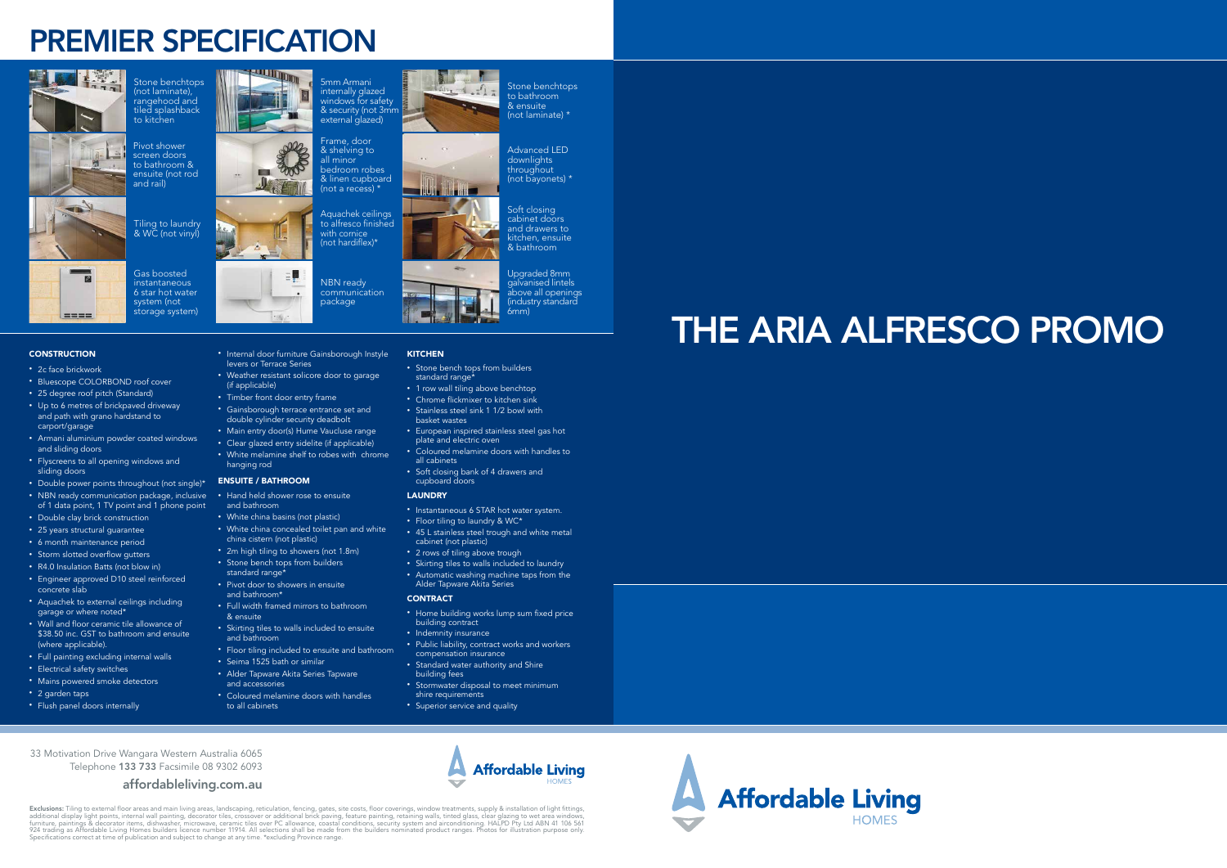# PREMIER SPECIFICATION







 $m = m$ 

### • Internal door furniture Gainsborough Instyle **KITCHEN**

- 2c face brickwork
- Bluescope COLORBOND roof cover
- 25 degree roof pitch (Standard)
- Up to 6 metres of brickpaved driveway and path with grano hardstand to carport/garage
- Armani aluminium powder coated windows and sliding doors
- Flyscreens to all opening windows and sliding doors
- Double power points throughout (not single)\* • NBN ready communication package, inclusive of 1 data point, 1 TV point and 1 phone point
- Double clay brick construction
- 25 years structural guarantee
- 6 month maintenance period
- Storm slotted overflow gutters
- R4.0 Insulation Batts (not blow in)
- Engineer approved D10 steel reinforced concrete slab
- Aquachek to external ceilings including garage or where noted\*
- Wall and floor ceramic tile allowance of \$38.50 inc. GST to bathroom and ensuite (where applicable).
- Full painting excluding internal walls
- Electrical safety switches
- Mains powered smoke detectors
- 2 garden taps
- Flush panel doors internally

• 2m high tiling to showers (not 1.8m) • Stone bench tops from builders

- Stone bench tops from builders standard range\*
- 1 row wall tiling above benchtop

 $2 - 1 - 1 + 1$ 

levers or Terrace Series

• Weather resistant solicore door to garage

(if applicable)

• Timber front door entry frame

• White melamine shelf to robes with chrome

hanging rod ENSUITE / BATHROOM

• Hand held shower rose to ensuite

and bathroom

• White china basins (not plastic)

• White china concealed toilet pan and white

china cistern (not plastic)

standard range\*

• Pivot door to showers in ensuite



and bathroom\*

• Full width framed mirrors to bathroom

& ensuite

• Skirting tiles to walls included to ensuite

and bathroom

- Clear glazed entry sidelite (if applicable)
	-
	- Soft closing bank of 4 drawers and

• Floor tiling included to ensuite and bathroom

• Seima 1525 bath or similar • Alder Tapware Akita Series Tapware

and accessories

• Coloured melamine doors with handles

to all cabinets

Frame, door & shelving to all minor bedroom robes & linen cupboard (not a recess)  $*$ 

- Stainless steel sink 1 1/2 bowl with
- European inspired stainless steel gas hot plate and electric oven

Soft closing cabinet doors and drawers to kitchen, ensuite & bathroom

- Coloured melamine doors with handles to all cabinets
- cupboard doors

## LAUNDRY

- 
- 
- 
- Instantaneous 6 STAR hot water system.
- Floor tiling to laundry & WC\*
- 45 L stainless steel trough and white metal cabinet (not plastic)
- 2 rows of tiling above trough
- Skirting tiles to walls included to laundry
- Automatic washing machine taps from the

Alder Tapware Akita Series **CONTRACT** • Home building works lump sum fixed price

- building contract
- Indemnity insurance
- Public liability, contract works and workers compensation insurance
- building fees
- Stormwater disposal to meet minimum shire requirements
- Superior service and quality
- 
- 
- Standard water authority and Shire
- 
- 
- 





Stone benchtops (not laminate), rangehood and tiled splashback to kitchen

Pivot shower screen doors to bathroom & ensuite (not rod



**FOR** 

COOP

and rail)

Tiling to laundry & WC (not vinyl)

## **CONSTRUCTION**

### Gas boosted instantaneous 6 star hot water system (not storage system)

5mm Armani internally glazed windows for safety & security (not 3mm external glazed)

Aquachek ceilings to alfresco finished with cornice (not hardiflex)\*

NBN ready communication package

Stone benchtops to bathroom & ensuite (not laminate) \*

Advanced LED downlights throughout (not bayonets) \*

Upgraded 8mm galvanised lintels above all openings (industry standard

6mm)

33 Motivation Drive Wangara Western Australia 6065 Telephone 133 733 Facsimile 08 9302 6093

## affordableliving.com.au



# THE ARIA ALFRESCO PROMO

- 
- - -
		-
	-
	-